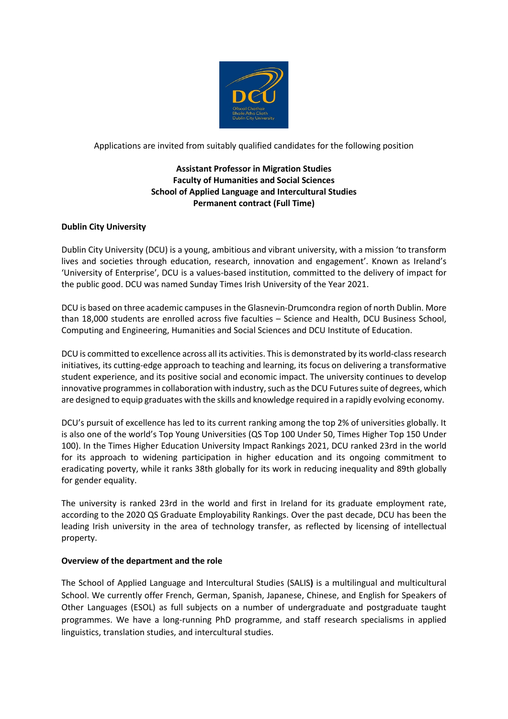

Applications are invited from suitably qualified candidates for the following position

# **Assistant Professor in Migration Studies Faculty of Humanities and Social Sciences School of Applied Language and Intercultural Studies Permanent contract (Full Time)**

### **Dublin City University**

Dublin City University (DCU) is a young, ambitious and vibrant university, with a mission 'to transform lives and societies through education, research, innovation and engagement'. Known as Ireland's 'University of Enterprise', DCU is a values-based institution, committed to the delivery of impact for the public good. DCU was named Sunday Times Irish University of the Year 2021.

DCU is based on three academic campuses in the Glasnevin-Drumcondra region of north Dublin. More than 18,000 students are enrolled across five faculties – Science and Health, DCU Business School, Computing and Engineering, Humanities and Social Sciences and DCU Institute of Education.

DCU is committed to excellence across all its activities. This is demonstrated by its world-class research initiatives, its cutting-edge approach to teaching and learning, its focus on delivering a transformative student experience, and its positive social and economic impact. The university continues to develop innovative programmes in collaboration with industry, such as the DCU Futures suite of degrees, which are designed to equip graduates with the skills and knowledge required in a rapidly evolving economy.

DCU's pursuit of excellence has led to its current ranking among the top 2% of universities globally. It is also one of the world's Top Young Universities (QS Top 100 Under 50, Times Higher Top 150 Under 100). In the Times Higher Education University Impact Rankings 2021, DCU ranked 23rd in the world for its approach to widening participation in higher education and its ongoing commitment to eradicating poverty, while it ranks 38th globally for its work in reducing inequality and 89th globally for gender equality.

The university is ranked 23rd in the world and first in Ireland for its graduate employment rate, according to the 2020 QS Graduate Employability Rankings. Over the past decade, DCU has been the leading Irish university in the area of technology transfer, as reflected by licensing of intellectual property.

#### **Overview of the department and the role**

The School of Applied Language and Intercultural Studies (SALIS**)** is a multilingual and multicultural School. We currently offer French, German, Spanish, Japanese, Chinese, and English for Speakers of Other Languages (ESOL) as full subjects on a number of undergraduate and postgraduate taught programmes. We have a long-running PhD programme, and staff research specialisms in applied linguistics, translation studies, and intercultural studies.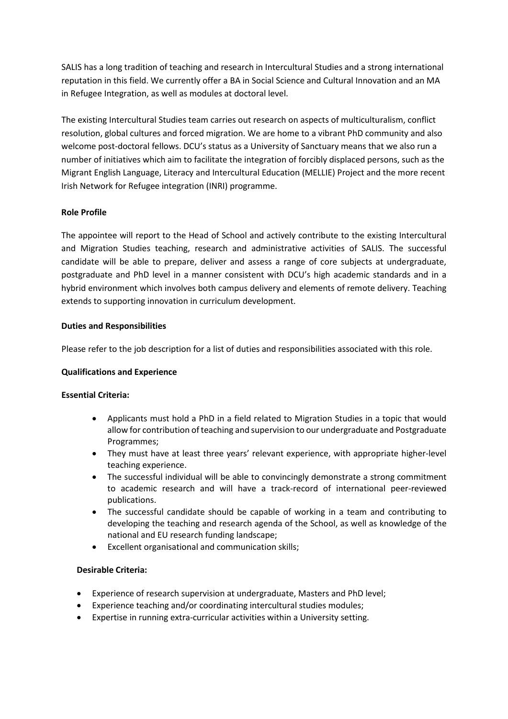SALIS has a long tradition of teaching and research in Intercultural Studies and a strong international reputation in this field. We currently offer a BA in Social Science and Cultural Innovation and an MA in Refugee Integration, as well as modules at doctoral level.

The existing Intercultural Studies team carries out research on aspects of multiculturalism, conflict resolution, global cultures and forced migration. We are home to a vibrant PhD community and also welcome post-doctoral fellows. DCU's status as a University of Sanctuary means that we also run a number of initiatives which aim to facilitate the integration of forcibly displaced persons, such as the Migrant English Language, Literacy and Intercultural Education (MELLIE) Project and the more recent Irish Network for Refugee integration (INRI) programme.

## **Role Profile**

The appointee will report to the Head of School and actively contribute to the existing Intercultural and Migration Studies teaching, research and administrative activities of SALIS. The successful candidate will be able to prepare, deliver and assess a range of core subjects at undergraduate, postgraduate and PhD level in a manner consistent with DCU's high academic standards and in a hybrid environment which involves both campus delivery and elements of remote delivery. Teaching extends to supporting innovation in curriculum development.

## **Duties and Responsibilities**

Please refer to the job description for a list of duties and responsibilities associated with this role.

#### **Qualifications and Experience**

#### **Essential Criteria:**

- Applicants must hold a PhD in a field related to Migration Studies in a topic that would allow for contribution of teaching and supervision to our undergraduate and Postgraduate Programmes;
- They must have at least three years' relevant experience, with appropriate higher-level teaching experience.
- The successful individual will be able to convincingly demonstrate a strong commitment to academic research and will have a track-record of international peer-reviewed publications.
- The successful candidate should be capable of working in a team and contributing to developing the teaching and research agenda of the School, as well as knowledge of the national and EU research funding landscape;
- Excellent organisational and communication skills;

#### **Desirable Criteria:**

- Experience of research supervision at undergraduate, Masters and PhD level;
- Experience teaching and/or coordinating intercultural studies modules;
- Expertise in running extra-curricular activities within a University setting.